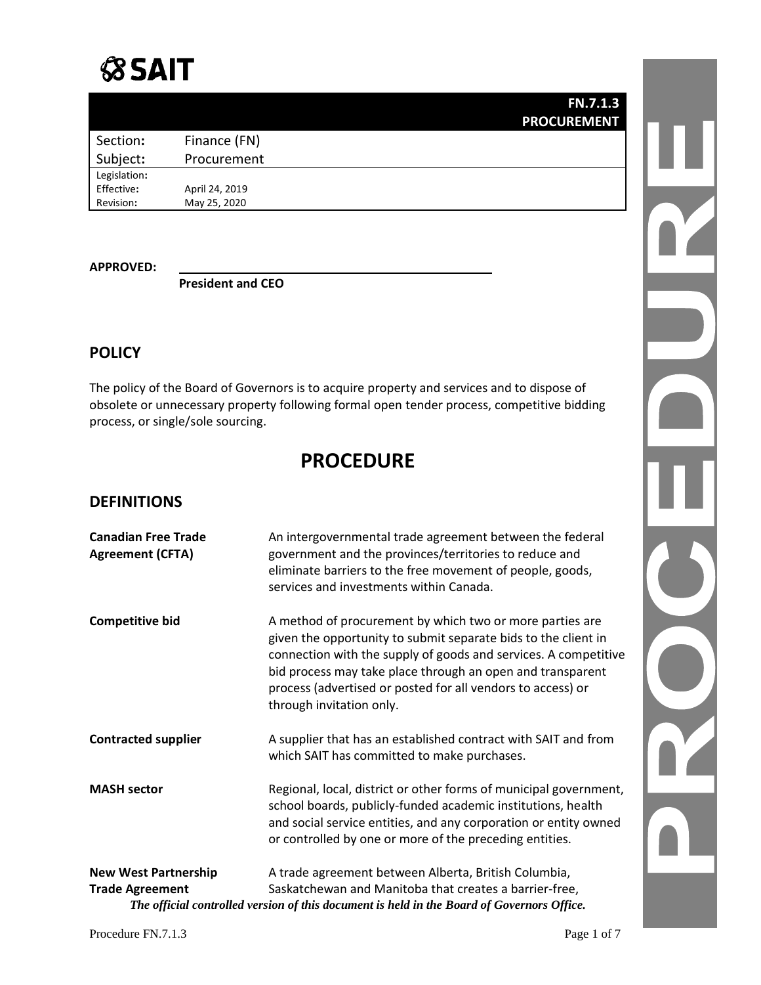|              |                | <b>FN.7.1.3</b>    |
|--------------|----------------|--------------------|
|              |                | <b>PROCUREMENT</b> |
| Section:     | Finance (FN)   |                    |
| Subject:     | Procurement    |                    |
| Legislation: |                |                    |
| Effective:   | April 24, 2019 |                    |
| Revision:    | May 25, 2020   |                    |
|              |                |                    |

#### **APPROVED:**

**President and CEO**

### **POLICY**

The policy of the Board of Governors is to acquire property and services and to dispose of obsolete or unnecessary property following formal open tender process, competitive bidding process, or single/sole sourcing.

## **PROCEDURE**

### **DEFINITIONS**

| <b>Canadian Free Trade</b><br><b>Agreement (CFTA)</b> | An intergovernmental trade agreement between the federal<br>government and the provinces/territories to reduce and<br>eliminate barriers to the free movement of people, goods,<br>services and investments within Canada.                                                                                                                             |  |
|-------------------------------------------------------|--------------------------------------------------------------------------------------------------------------------------------------------------------------------------------------------------------------------------------------------------------------------------------------------------------------------------------------------------------|--|
| <b>Competitive bid</b>                                | A method of procurement by which two or more parties are<br>given the opportunity to submit separate bids to the client in<br>connection with the supply of goods and services. A competitive<br>bid process may take place through an open and transparent<br>process (advertised or posted for all vendors to access) or<br>through invitation only. |  |
| <b>Contracted supplier</b>                            | A supplier that has an established contract with SAIT and from<br>which SAIT has committed to make purchases.                                                                                                                                                                                                                                          |  |
| <b>MASH sector</b>                                    | Regional, local, district or other forms of municipal government,<br>school boards, publicly-funded academic institutions, health<br>and social service entities, and any corporation or entity owned<br>or controlled by one or more of the preceding entities.                                                                                       |  |
| <b>New West Partnership</b>                           | A trade agreement between Alberta, British Columbia,                                                                                                                                                                                                                                                                                                   |  |
| <b>Trade Agreement</b>                                | Saskatchewan and Manitoba that creates a barrier-free,                                                                                                                                                                                                                                                                                                 |  |
|                                                       | The official controlled version of this document is held in the Board of Governors Office.                                                                                                                                                                                                                                                             |  |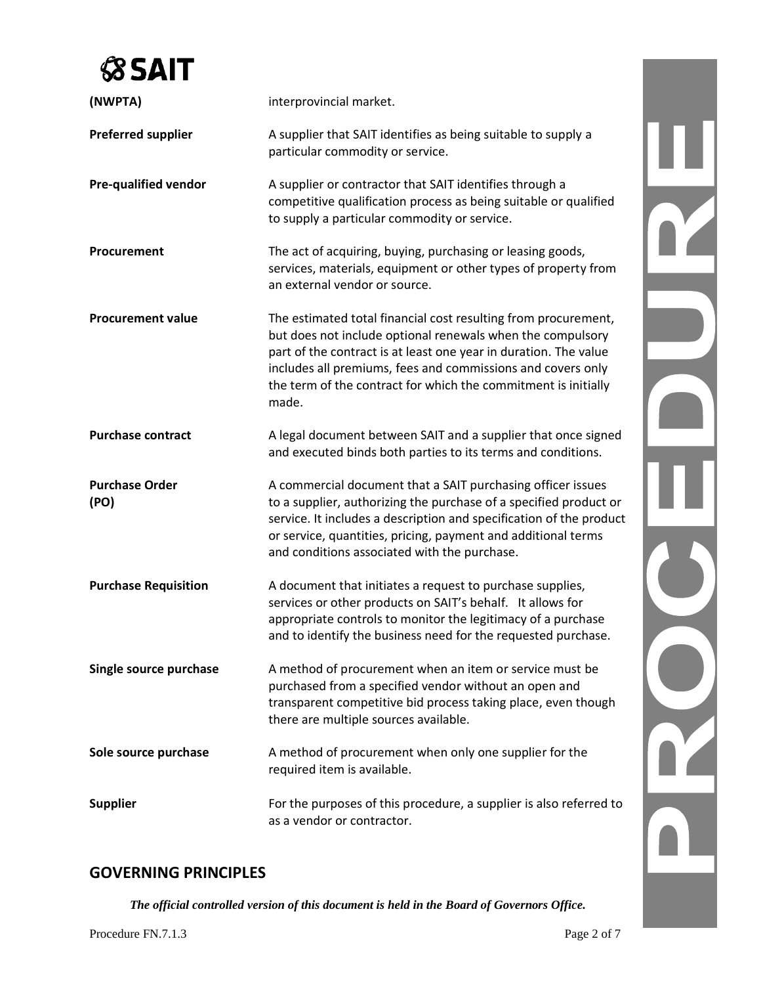| (NWPTA)                       | interprovincial market.                                                                                                                                                                                                                                                                                                                    |  |
|-------------------------------|--------------------------------------------------------------------------------------------------------------------------------------------------------------------------------------------------------------------------------------------------------------------------------------------------------------------------------------------|--|
| <b>Preferred supplier</b>     | A supplier that SAIT identifies as being suitable to supply a<br>particular commodity or service.                                                                                                                                                                                                                                          |  |
| <b>Pre-qualified vendor</b>   | A supplier or contractor that SAIT identifies through a<br>competitive qualification process as being suitable or qualified<br>to supply a particular commodity or service.                                                                                                                                                                |  |
| Procurement                   | The act of acquiring, buying, purchasing or leasing goods,<br>services, materials, equipment or other types of property from<br>an external vendor or source.                                                                                                                                                                              |  |
| <b>Procurement value</b>      | The estimated total financial cost resulting from procurement,<br>but does not include optional renewals when the compulsory<br>part of the contract is at least one year in duration. The value<br>includes all premiums, fees and commissions and covers only<br>the term of the contract for which the commitment is initially<br>made. |  |
| <b>Purchase contract</b>      | A legal document between SAIT and a supplier that once signed<br>and executed binds both parties to its terms and conditions.                                                                                                                                                                                                              |  |
| <b>Purchase Order</b><br>(PO) | A commercial document that a SAIT purchasing officer issues<br>to a supplier, authorizing the purchase of a specified product or<br>service. It includes a description and specification of the product<br>or service, quantities, pricing, payment and additional terms<br>and conditions associated with the purchase.                   |  |
| <b>Purchase Requisition</b>   | A document that initiates a request to purchase supplies,<br>services or other products on SAIT's behalf. It allows for<br>appropriate controls to monitor the legitimacy of a purchase<br>and to identify the business need for the requested purchase.                                                                                   |  |
| Single source purchase        | A method of procurement when an item or service must be<br>purchased from a specified vendor without an open and<br>transparent competitive bid process taking place, even though<br>there are multiple sources available.                                                                                                                 |  |
| Sole source purchase          | A method of procurement when only one supplier for the<br>required item is available.                                                                                                                                                                                                                                                      |  |
| <b>Supplier</b>               | For the purposes of this procedure, a supplier is also referred to<br>as a vendor or contractor.                                                                                                                                                                                                                                           |  |

### **GOVERNING PRINCIPLES**

*The official controlled version of this document is held in the Board of Governors Office.*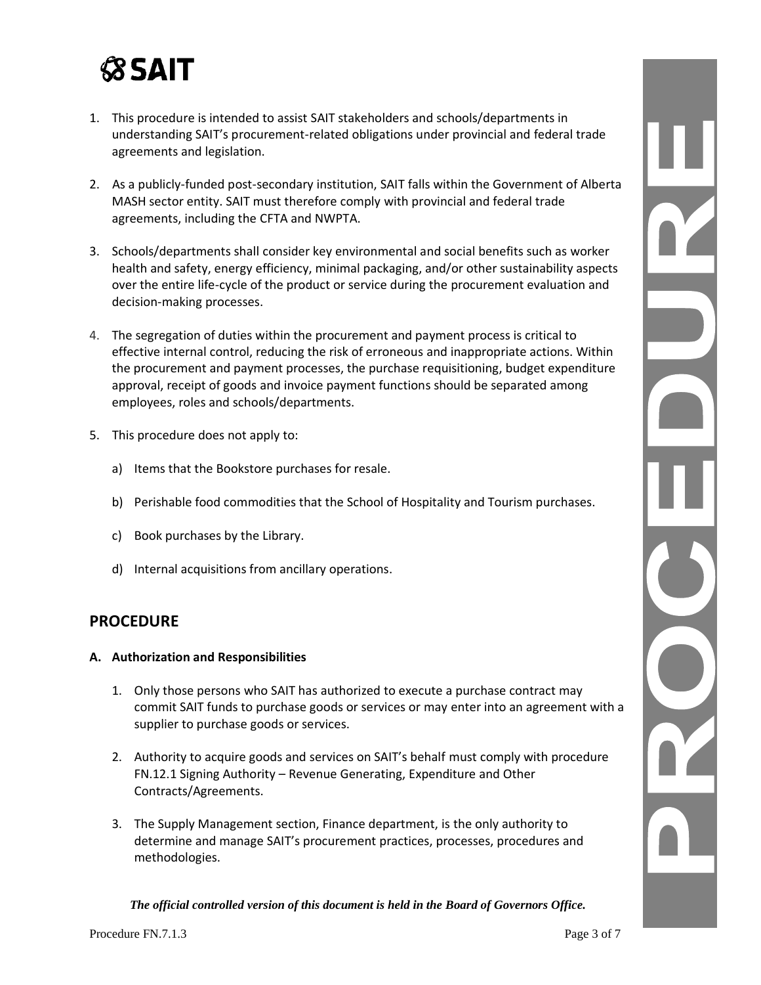- 1. This procedure is intended to assist SAIT stakeholders and schools/departments in understanding SAIT's procurement-related obligations under provincial and federal trade agreements and legislation.
- 2. As a publicly-funded post-secondary institution, SAIT falls within the Government of Alberta MASH sector entity. SAIT must therefore comply with provincial and federal trade agreements, including the CFTA and NWPTA.
- 3. Schools/departments shall consider key environmental and social benefits such as worker health and safety, energy efficiency, minimal packaging, and/or other sustainability aspects over the entire life-cycle of the product or service during the procurement evaluation and decision-making processes.
- 4. The segregation of duties within the procurement and payment process is critical to effective internal control, reducing the risk of erroneous and inappropriate actions. Within the procurement and payment processes, the purchase requisitioning, budget expenditure approval, receipt of goods and invoice payment functions should be separated among employees, roles and schools/departments.
- 5. This procedure does not apply to:
	- a) Items that the Bookstore purchases for resale.
	- b) Perishable food commodities that the School of Hospitality and Tourism purchases.
	- c) Book purchases by the Library.
	- d) Internal acquisitions from ancillary operations.

### **PROCEDURE**

#### **A. Authorization and Responsibilities**

- 1. Only those persons who SAIT has authorized to execute a purchase contract may commit SAIT funds to purchase goods or services or may enter into an agreement with a supplier to purchase goods or services.
- 2. Authority to acquire goods and services on SAIT's behalf must comply with procedure FN.12.1 Signing Authority – Revenue Generating, Expenditure and Other Contracts/Agreements.
- 3. The Supply Management section, Finance department, is the only authority to determine and manage SAIT's procurement practices, processes, procedures and methodologies.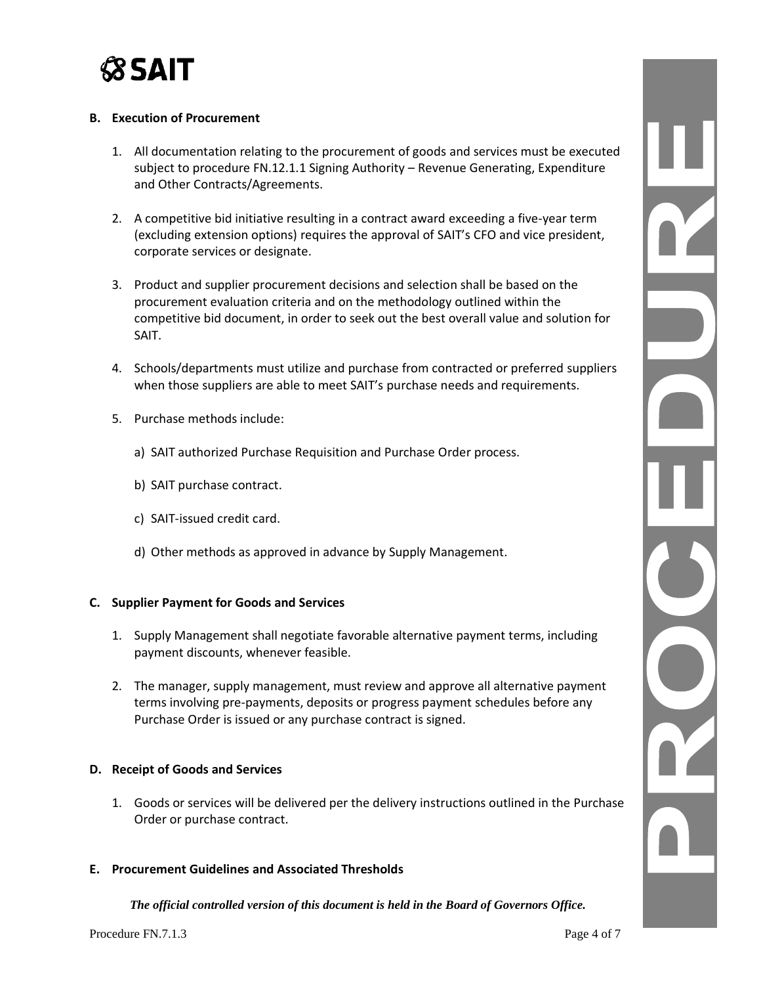

#### **B. Execution of Procurement**

- 1. All documentation relating to the procurement of goods and services must be executed subject to procedure FN.12.1.1 Signing Authority – Revenue Generating, Expenditure and Other Contracts/Agreements.
- 2. A competitive bid initiative resulting in a contract award exceeding a five-year term (excluding extension options) requires the approval of SAIT's CFO and vice president, corporate services or designate.
- 3. Product and supplier procurement decisions and selection shall be based on the procurement evaluation criteria and on the methodology outlined within the competitive bid document, in order to seek out the best overall value and solution for SAIT.
- 4. Schools/departments must utilize and purchase from contracted or preferred suppliers when those suppliers are able to meet SAIT's purchase needs and requirements.
- 5. Purchase methods include:
	- a) SAIT authorized Purchase Requisition and Purchase Order process.
	- b) SAIT purchase contract.
	- c) SAIT-issued credit card.
	- d) Other methods as approved in advance by Supply Management.

#### **C. Supplier Payment for Goods and Services**

- 1. Supply Management shall negotiate favorable alternative payment terms, including payment discounts, whenever feasible.
- 2. The manager, supply management, must review and approve all alternative payment terms involving pre-payments, deposits or progress payment schedules before any Purchase Order is issued or any purchase contract is signed.

#### **D. Receipt of Goods and Services**

1. Goods or services will be delivered per the delivery instructions outlined in the Purchase Order or purchase contract.

#### **E. Procurement Guidelines and Associated Thresholds**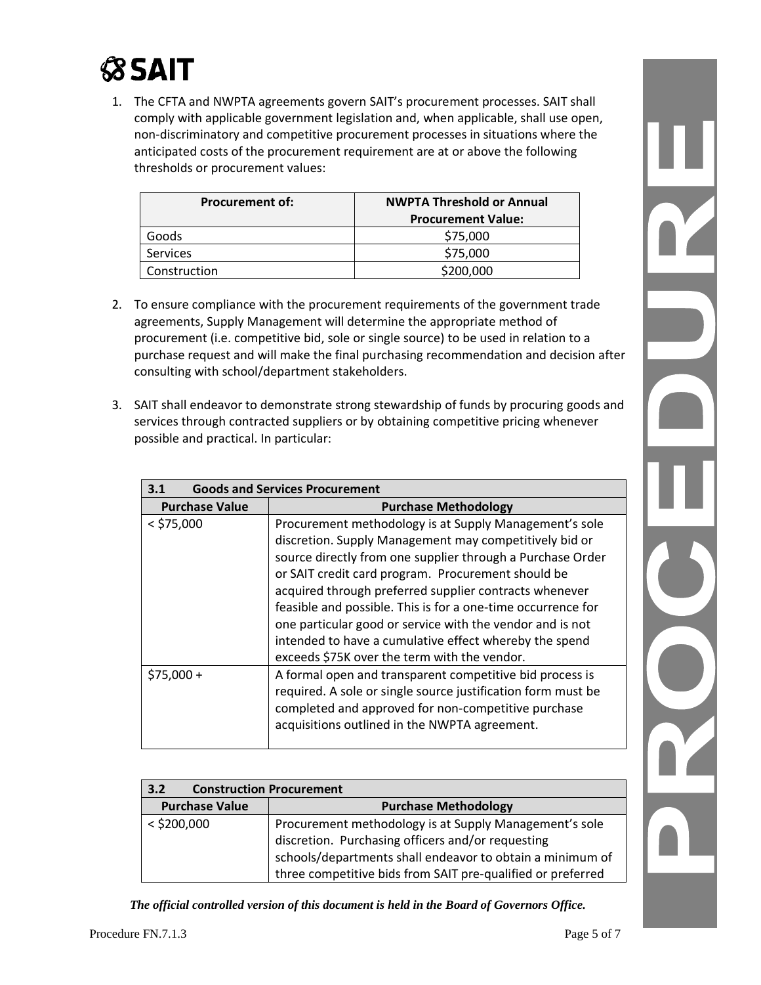1. The CFTA and NWPTA agreements govern SAIT's procurement processes. SAIT shall comply with applicable government legislation and, when applicable, shall use open, non-discriminatory and competitive procurement processes in situations where the anticipated costs of the procurement requirement are at or above the following thresholds or procurement values:

| <b>Procurement of:</b> | <b>NWPTA Threshold or Annual</b> |
|------------------------|----------------------------------|
|                        | <b>Procurement Value:</b>        |
| Goods                  | \$75,000                         |
| <b>Services</b>        | \$75,000                         |
| Construction           | \$200,000                        |

- 2. To ensure compliance with the procurement requirements of the government trade agreements, Supply Management will determine the appropriate method of procurement (i.e. competitive bid, sole or single source) to be used in relation to a purchase request and will make the final purchasing recommendation and decision after consulting with school/department stakeholders.
- 3. SAIT shall endeavor to demonstrate strong stewardship of funds by procuring goods and services through contracted suppliers or by obtaining competitive pricing whenever possible and practical. In particular:

| <b>Goods and Services Procurement</b><br>3.1 |                                                                                                                                                                                                                                                                                                                                                                                                                                                                                                                                       |
|----------------------------------------------|---------------------------------------------------------------------------------------------------------------------------------------------------------------------------------------------------------------------------------------------------------------------------------------------------------------------------------------------------------------------------------------------------------------------------------------------------------------------------------------------------------------------------------------|
| <b>Purchase Value</b>                        | <b>Purchase Methodology</b>                                                                                                                                                                                                                                                                                                                                                                                                                                                                                                           |
| $<$ \$75,000                                 | Procurement methodology is at Supply Management's sole<br>discretion. Supply Management may competitively bid or<br>source directly from one supplier through a Purchase Order<br>or SAIT credit card program. Procurement should be<br>acquired through preferred supplier contracts whenever<br>feasible and possible. This is for a one-time occurrence for<br>one particular good or service with the vendor and is not<br>intended to have a cumulative effect whereby the spend<br>exceeds \$75K over the term with the vendor. |
| $$75,000 +$                                  | A formal open and transparent competitive bid process is<br>required. A sole or single source justification form must be<br>completed and approved for non-competitive purchase<br>acquisitions outlined in the NWPTA agreement.                                                                                                                                                                                                                                                                                                      |

| 3.2                   | <b>Construction Procurement</b>                                                                                                                                                                                                         |
|-----------------------|-----------------------------------------------------------------------------------------------------------------------------------------------------------------------------------------------------------------------------------------|
| <b>Purchase Value</b> | <b>Purchase Methodology</b>                                                                                                                                                                                                             |
| $<$ \$200,000         | Procurement methodology is at Supply Management's sole<br>discretion. Purchasing officers and/or requesting<br>schools/departments shall endeavor to obtain a minimum of<br>three competitive bids from SAIT pre-qualified or preferred |

*The official controlled version of this document is held in the Board of Governors Office.*

 $\frac{1}{\sqrt{2}}$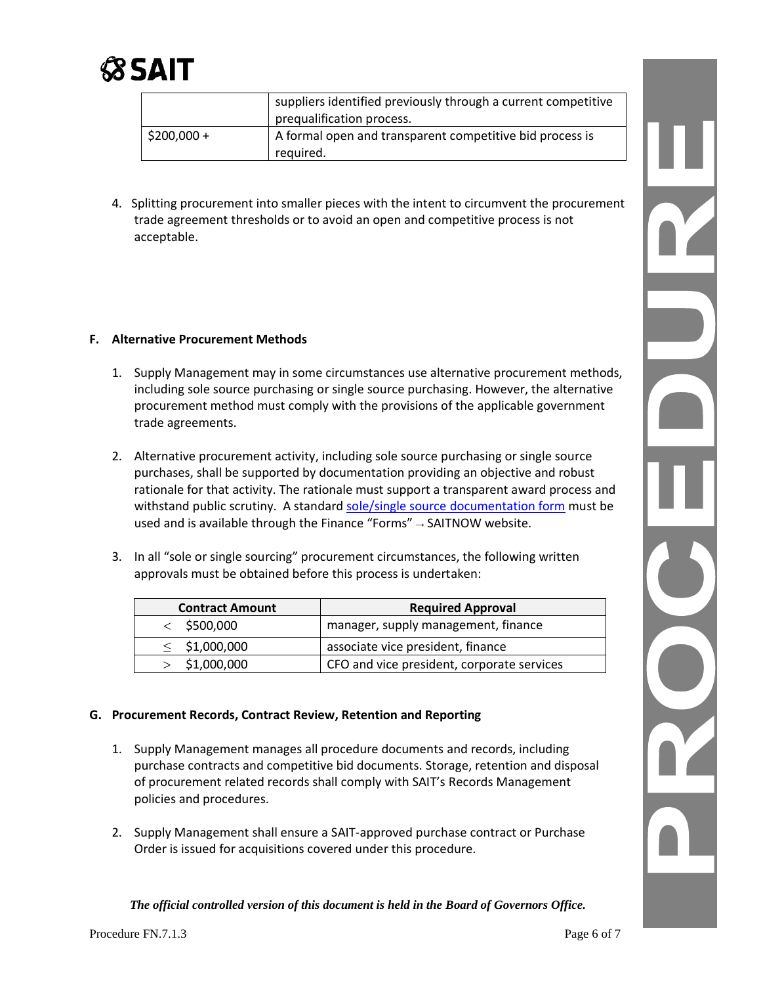

|             | suppliers identified previously through a current competitive<br>prequalification process. |
|-------------|--------------------------------------------------------------------------------------------|
| $$200,000+$ | A formal open and transparent competitive bid process is<br>required.                      |

4. Splitting procurement into smaller pieces with the intent to circumvent the procurement trade agreement thresholds or to avoid an open and competitive process is not acceptable.

#### **F. Alternative Procurement Methods**

- 1. Supply Management may in some circumstances use alternative procurement methods, including sole source purchasing or single source purchasing. However, the alternative procurement method must comply with the provisions of the applicable government trade agreements.
- 2. Alternative procurement activity, including sole source purchasing or single source purchases, shall be supported by documentation providing an objective and robust rationale for that activity. The rationale must support a transparent award process and withstand public scrutiny. A standard [sole/single source documentation form](https://www.sait.ca/assets/documents/about-sait/policies-and-procedures/finance/fn-7-1-3-procurement-single-sole-sourcing-form.pdf) must be used and is available through the Finance "Forms"  $\rightarrow$  SAITNOW website.
- 3. In all "sole or single sourcing" procurement circumstances, the following written approvals must be obtained before this process is undertaken:

| <b>Contract Amount</b> | <b>Required Approval</b>                   |
|------------------------|--------------------------------------------|
| $<$ \$500,000          | manager, supply management, finance        |
| $\leq$ \$1,000,000     | associate vice president, finance          |
| \$1,000,000            | CFO and vice president, corporate services |

#### **G. Procurement Records, Contract Review, Retention and Reporting**

- 1. Supply Management manages all procedure documents and records, including purchase contracts and competitive bid documents. Storage, retention and disposal of procurement related records shall comply with SAIT's Records Management policies and procedures.
- 2. Supply Management shall ensure a SAIT-approved purchase contract or Purchase Order is issued for acquisitions covered under this procedure.